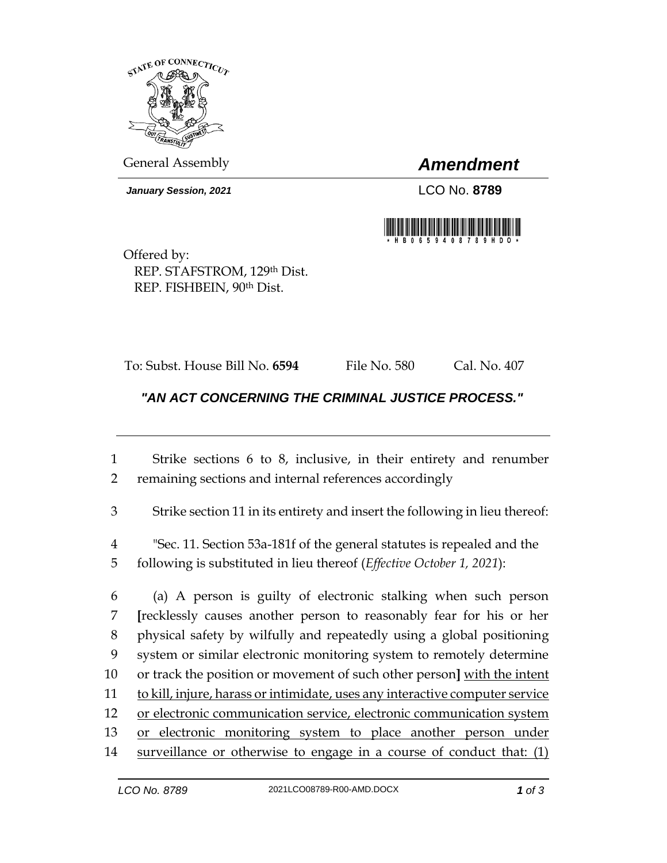

General Assembly *Amendment*

*January Session, 2021* LCO No. **8789**



Offered by: REP. STAFSTROM, 129th Dist. REP. FISHBEIN, 90th Dist.

To: Subst. House Bill No. **6594** File No. 580 Cal. No. 407

## *"AN ACT CONCERNING THE CRIMINAL JUSTICE PROCESS."*

1 Strike sections 6 to 8, inclusive, in their entirety and renumber 2 remaining sections and internal references accordingly

3 Strike section 11 in its entirety and insert the following in lieu thereof:

4 "Sec. 11. Section 53a-181f of the general statutes is repealed and the 5 following is substituted in lieu thereof (*Effective October 1, 2021*):

 (a) A person is guilty of electronic stalking when such person **[**recklessly causes another person to reasonably fear for his or her physical safety by wilfully and repeatedly using a global positioning system or similar electronic monitoring system to remotely determine or track the position or movement of such other person**]** with the intent 11 to kill, injure, harass or intimidate, uses any interactive computer service or electronic communication service, electronic communication system 13 or electronic monitoring system to place another person under surveillance or otherwise to engage in a course of conduct that: (1)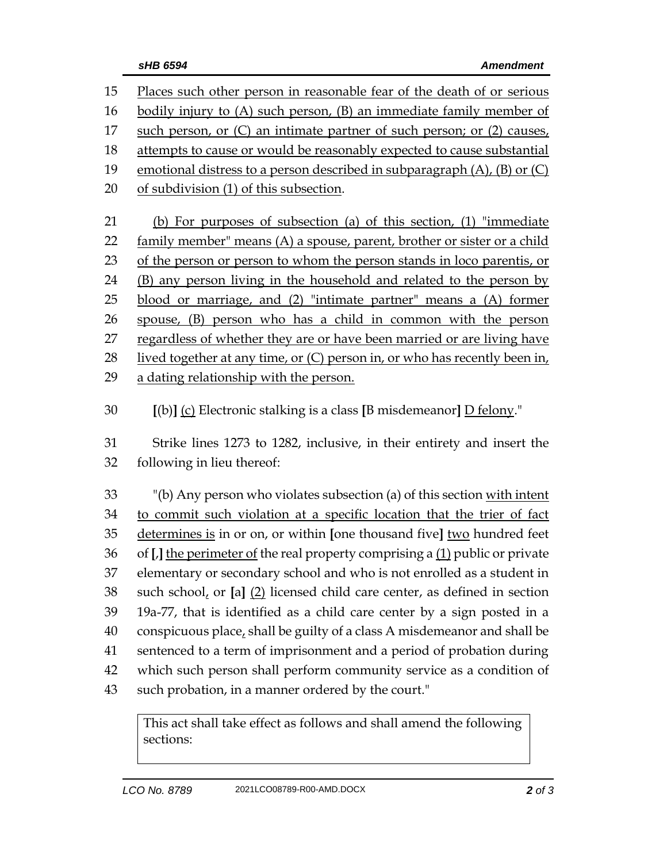| 15       | Places such other person in reasonable fear of the death of or serious                                                    |
|----------|---------------------------------------------------------------------------------------------------------------------------|
| 16       | bodily injury to (A) such person, (B) an immediate family member of                                                       |
| 17       | such person, or (C) an intimate partner of such person; or (2) causes,                                                    |
| 18       | attempts to cause or would be reasonably expected to cause substantial                                                    |
| 19       | emotional distress to a person described in subparagraph (A), (B) or (C)                                                  |
| 20       | of subdivision (1) of this subsection.                                                                                    |
| 21       | (b) For purposes of subsection (a) of this section, (1) "immediate                                                        |
| 22       | family member" means (A) a spouse, parent, brother or sister or a child                                                   |
| 23       | of the person or person to whom the person stands in loco parentis, or                                                    |
| 24       | (B) any person living in the household and related to the person by                                                       |
| 25       | blood or marriage, and (2) "intimate partner" means a (A) former                                                          |
| 26       | spouse, (B) person who has a child in common with the person                                                              |
| 27       | regardless of whether they are or have been married or are living have                                                    |
| 28       | lived together at any time, or (C) person in, or who has recently been in,                                                |
| 29       | a dating relationship with the person.                                                                                    |
|          |                                                                                                                           |
|          |                                                                                                                           |
| 30       | $[(b)]$ (c) Electronic stalking is a class [B misdemeanor] D felony."                                                     |
| 31       | Strike lines 1273 to 1282, inclusive, in their entirety and insert the                                                    |
| 32       | following in lieu thereof:                                                                                                |
|          |                                                                                                                           |
| 33       | "(b) Any person who violates subsection (a) of this section with intent                                                   |
| 34       | to commit such violation at a specific location that the trier of fact                                                    |
| 35       | determines is in or on, or within [one thousand five] two hundred feet                                                    |
| 36       | of [J] the perimeter of the real property comprising a (1) public or private                                              |
| 37       | elementary or secondary school and who is not enrolled as a student in                                                    |
| 38       | such school, or $[a]$ $(2)$ licensed child care center, as defined in section                                             |
| 39       | 19a-77, that is identified as a child care center by a sign posted in a                                                   |
| 40       | conspicuous place, shall be guilty of a class A misdemeanor and shall be                                                  |
| 41       | sentenced to a term of imprisonment and a period of probation during                                                      |
| 42<br>43 | which such person shall perform community service as a condition of<br>such probation, in a manner ordered by the court." |

This act shall take effect as follows and shall amend the following sections: